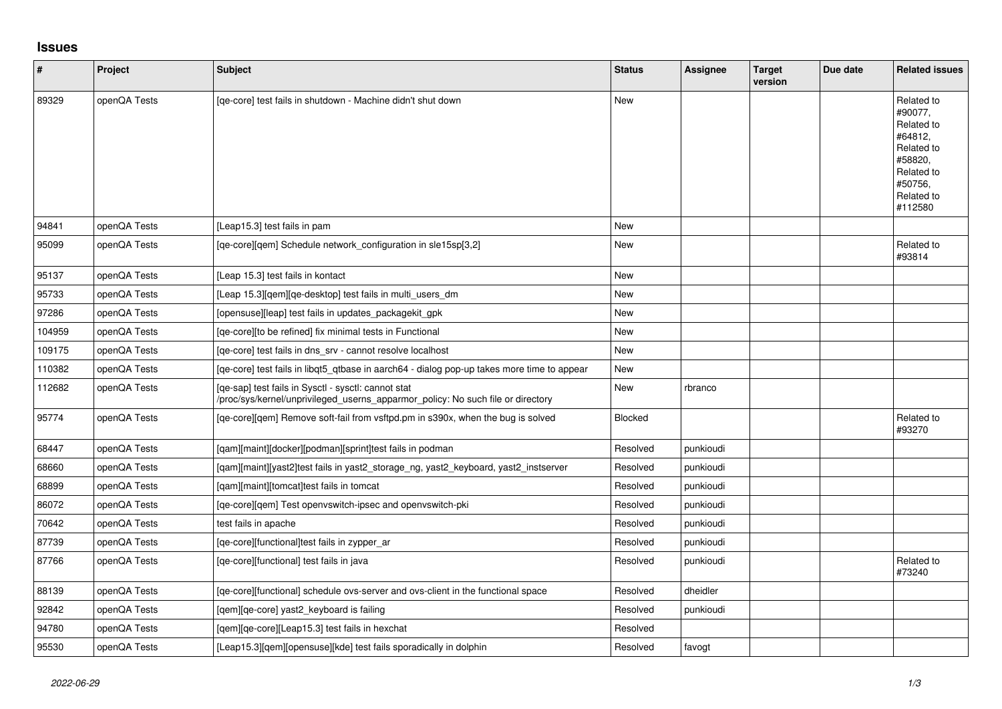## **Issues**

| $\sharp$ | Project      | <b>Subject</b>                                                                                                                         | <b>Status</b> | Assignee  | <b>Target</b><br>version | Due date | <b>Related issues</b>                                                                                                     |
|----------|--------------|----------------------------------------------------------------------------------------------------------------------------------------|---------------|-----------|--------------------------|----------|---------------------------------------------------------------------------------------------------------------------------|
| 89329    | openQA Tests | [qe-core] test fails in shutdown - Machine didn't shut down                                                                            | <b>New</b>    |           |                          |          | Related to<br>#90077.<br>Related to<br>#64812.<br>Related to<br>#58820.<br>Related to<br>#50756,<br>Related to<br>#112580 |
| 94841    | openQA Tests | [Leap15.3] test fails in pam                                                                                                           | <b>New</b>    |           |                          |          |                                                                                                                           |
| 95099    | openQA Tests | [ge-core][gem] Schedule network configuration in sle15sp[3,2]                                                                          | <b>New</b>    |           |                          |          | Related to<br>#93814                                                                                                      |
| 95137    | openQA Tests | [Leap 15.3] test fails in kontact                                                                                                      | New           |           |                          |          |                                                                                                                           |
| 95733    | openQA Tests | [Leap 15.3][qem][qe-desktop] test fails in multi_users_dm                                                                              | <b>New</b>    |           |                          |          |                                                                                                                           |
| 97286    | openQA Tests | [opensuse][leap] test fails in updates_packagekit_gpk                                                                                  | <b>New</b>    |           |                          |          |                                                                                                                           |
| 104959   | openQA Tests | [qe-core][to be refined] fix minimal tests in Functional                                                                               | <b>New</b>    |           |                          |          |                                                                                                                           |
| 109175   | openQA Tests | [qe-core] test fails in dns_srv - cannot resolve localhost                                                                             | <b>New</b>    |           |                          |          |                                                                                                                           |
| 110382   | openQA Tests | [ge-core] test fails in libgt5 gtbase in aarch64 - dialog pop-up takes more time to appear                                             | New           |           |                          |          |                                                                                                                           |
| 112682   | openQA Tests | [qe-sap] test fails in Sysctl - sysctl: cannot stat<br>/proc/sys/kernel/unprivileged_userns_apparmor_policy: No such file or directory | New           | rbranco   |                          |          |                                                                                                                           |
| 95774    | openQA Tests | [qe-core][qem] Remove soft-fail from vsftpd.pm in s390x, when the bug is solved                                                        | Blocked       |           |                          |          | Related to<br>#93270                                                                                                      |
| 68447    | openQA Tests | [qam][maint][docker][podman][sprint]test fails in podman                                                                               | Resolved      | punkioudi |                          |          |                                                                                                                           |
| 68660    | openQA Tests | [qam][maint][yast2]test fails in yast2_storage_ng, yast2_keyboard, yast2_instserver                                                    | Resolved      | punkioudi |                          |          |                                                                                                                           |
| 68899    | openQA Tests | [qam][maint][tomcat]test fails in tomcat                                                                                               | Resolved      | punkioudi |                          |          |                                                                                                                           |
| 86072    | openQA Tests | [ge-core][gem] Test openvswitch-ipsec and openvswitch-pki                                                                              | Resolved      | punkioudi |                          |          |                                                                                                                           |
| 70642    | openQA Tests | test fails in apache                                                                                                                   | Resolved      | punkioudi |                          |          |                                                                                                                           |
| 87739    | openQA Tests | [qe-core][functional]test fails in zypper_ar                                                                                           | Resolved      | punkioudi |                          |          |                                                                                                                           |
| 87766    | openQA Tests | [ge-core][functional] test fails in java                                                                                               | Resolved      | punkioudi |                          |          | Related to<br>#73240                                                                                                      |
| 88139    | openQA Tests | [ge-core][functional] schedule ovs-server and ovs-client in the functional space                                                       | Resolved      | dheidler  |                          |          |                                                                                                                           |
| 92842    | openQA Tests | [gem][ge-core] yast2 keyboard is failing                                                                                               | Resolved      | punkioudi |                          |          |                                                                                                                           |
| 94780    | openQA Tests | [gem][ge-core][Leap15.3] test fails in hexchat                                                                                         | Resolved      |           |                          |          |                                                                                                                           |
| 95530    | openQA Tests | [Leap15.3][qem][opensuse][kde] test fails sporadically in dolphin                                                                      | Resolved      | favogt    |                          |          |                                                                                                                           |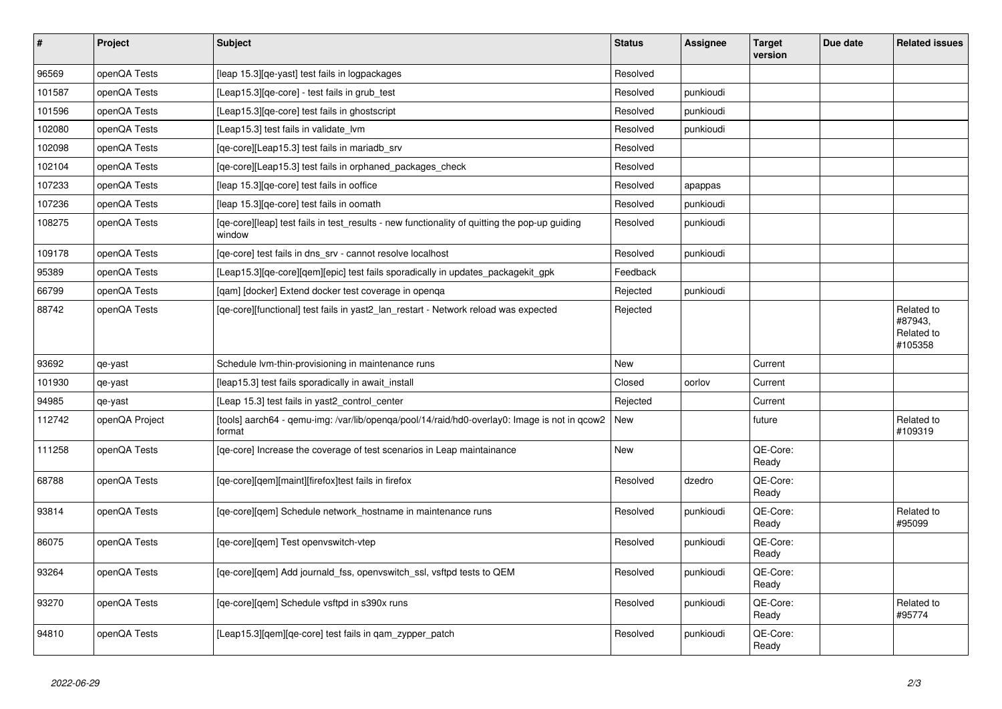| $\vert$ # | Project        | <b>Subject</b>                                                                                          | <b>Status</b> | Assignee  | <b>Target</b><br>version | Due date | <b>Related issues</b>                          |
|-----------|----------------|---------------------------------------------------------------------------------------------------------|---------------|-----------|--------------------------|----------|------------------------------------------------|
| 96569     | openQA Tests   | [leap 15.3] [qe-yast] test fails in logpackages                                                         | Resolved      |           |                          |          |                                                |
| 101587    | openQA Tests   | [Leap15.3][qe-core] - test fails in grub_test                                                           | Resolved      | punkioudi |                          |          |                                                |
| 101596    | openQA Tests   | [Leap15.3] [qe-core] test fails in ghostscript                                                          | Resolved      | punkioudi |                          |          |                                                |
| 102080    | openQA Tests   | [Leap15.3] test fails in validate lvm                                                                   | Resolved      | punkioudi |                          |          |                                                |
| 102098    | openQA Tests   | [qe-core][Leap15.3] test fails in mariadb_srv                                                           | Resolved      |           |                          |          |                                                |
| 102104    | openQA Tests   | [qe-core][Leap15.3] test fails in orphaned_packages_check                                               | Resolved      |           |                          |          |                                                |
| 107233    | openQA Tests   | [leap 15.3][qe-core] test fails in ooffice                                                              | Resolved      | apappas   |                          |          |                                                |
| 107236    | openQA Tests   | [leap 15.3][qe-core] test fails in oomath                                                               | Resolved      | punkioudi |                          |          |                                                |
| 108275    | openQA Tests   | [qe-core][leap] test fails in test_results - new functionality of quitting the pop-up guiding<br>window | Resolved      | punkioudi |                          |          |                                                |
| 109178    | openQA Tests   | [ge-core] test fails in dns srv - cannot resolve localhost                                              | Resolved      | punkioudi |                          |          |                                                |
| 95389     | openQA Tests   | [Leap15.3][qe-core][qem][epic] test fails sporadically in updates_packagekit_gpk                        | Feedback      |           |                          |          |                                                |
| 66799     | openQA Tests   | [gam] [docker] Extend docker test coverage in openga                                                    | Rejected      | punkioudi |                          |          |                                                |
| 88742     | openQA Tests   | [qe-core][functional] test fails in yast2_lan_restart - Network reload was expected                     | Rejected      |           |                          |          | Related to<br>#87943,<br>Related to<br>#105358 |
| 93692     | qe-yast        | Schedule Ivm-thin-provisioning in maintenance runs                                                      | New           |           | Current                  |          |                                                |
| 101930    | qe-yast        | [leap15.3] test fails sporadically in await_install                                                     | Closed        | oorlov    | Current                  |          |                                                |
| 94985     | qe-yast        | [Leap 15.3] test fails in yast2_control_center                                                          | Rejected      |           | Current                  |          |                                                |
| 112742    | openQA Project | [tools] aarch64 - qemu-img: /var/lib/openqa/pool/14/raid/hd0-overlay0: Image is not in qcow2<br>format  | New           |           | future                   |          | Related to<br>#109319                          |
| 111258    | openQA Tests   | [ge-core] Increase the coverage of test scenarios in Leap maintainance                                  | New           |           | QE-Core:<br>Ready        |          |                                                |
| 68788     | openQA Tests   | [qe-core][qem][maint][firefox]test fails in firefox                                                     | Resolved      | dzedro    | QE-Core:<br>Ready        |          |                                                |
| 93814     | openQA Tests   | [ge-core][gem] Schedule network hostname in maintenance runs                                            | Resolved      | punkioudi | QE-Core:<br>Ready        |          | Related to<br>#95099                           |
| 86075     | openQA Tests   | [qe-core][qem] Test openvswitch-vtep                                                                    | Resolved      | punkioudi | QE-Core:<br>Ready        |          |                                                |
| 93264     | openQA Tests   | [qe-core][qem] Add journald_fss, openvswitch_ssl, vsftpd tests to QEM                                   | Resolved      | punkioudi | QE-Core:<br>Ready        |          |                                                |
| 93270     | openQA Tests   | [ge-core][gem] Schedule vsftpd in s390x runs                                                            | Resolved      | punkioudi | QE-Core:<br>Ready        |          | Related to<br>#95774                           |
| 94810     | openQA Tests   | [Leap15.3][qem][qe-core] test fails in qam_zypper_patch                                                 | Resolved      | punkioudi | QE-Core:<br>Ready        |          |                                                |